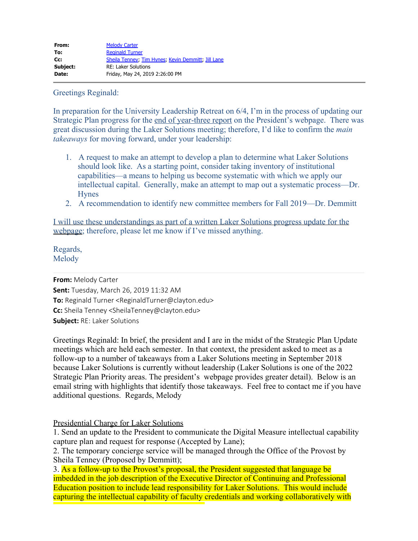Greetings Reginald:

In preparation for the University Leadership Retreat on 6/4, I'm in the process of updating our Strategic Plan progress for the end of year-three report on the President's webpage. There was great discussion during the Laker Solutions meeting; therefore, I'd like to confirm the *main takeaways* for moving forward, under your leadership:

- 1. A request to make an attempt to develop a plan to determine what Laker Solutions should look like. As a starting point, consider taking inventory of institutional capabilities—a means to helping us become systematic with which we apply our intellectual capital. Generally, make an attempt to map out a systematic process—Dr. Hynes
- 2. A recommendation to identify new committee members for Fall 2019—Dr. Demmitt

I will use these understandings as part of a written Laker Solutions progress update for the webpage; therefore, please let me know if I've missed anything.

Regards, Melody

**From:** Melody Carter **Sent:** Tuesday, March 26, 2019 11:32 AM **To:** Reginald Turner <ReginaldTurner@clayton.edu> **Cc:** Sheila Tenney <SheilaTenney@clayton.edu> **Subject:** RE: Laker Solutions

Greetings Reginald: In brief, the president and I are in the midst of the Strategic Plan Update meetings which are held each semester. In that context, the president asked to meet as a follow-up to a number of takeaways from a Laker Solutions meeting in September 2018 because Laker Solutions is currently without leadership (Laker Solutions is one of the 2022 Strategic Plan Priority areas. The president's webpage provides greater detail). Below is an email string with highlights that identify those takeaways. Feel free to contact me if you have additional questions. Regards, Melody

Presidential Charge for Laker Solutions

1. Send an update to the President to communicate the Digital Measure intellectual capability capture plan and request for response (Accepted by Lane);

2. The temporary concierge service will be managed through the Office of the Provost by Sheila Tenney (Proposed by Demmitt);

3. As a follow-up to the Provost's proposal, the President suggested that language be imbedded in the job description of the Executive Director of Continuing and Professional Education position to include lead responsibility for Laker Solutions. This would include capturing the intellectual capability of faculty credentials and working collaboratively with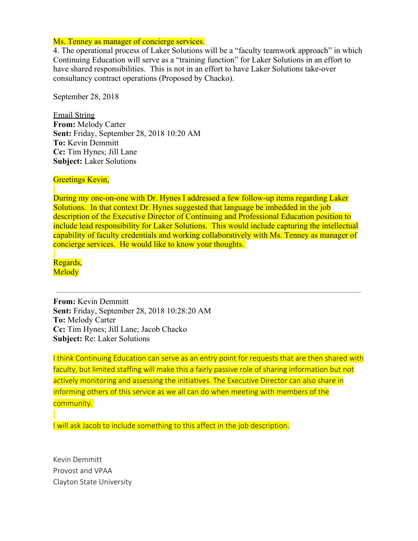## Ms. Tenney as manager of concierge services.

4. The operational process of Laker Solutions will be a "faculty teamwork approach" in which Continuing Education will serve as a "training function" for Laker Solutions in an effort to have shared responsibilities. This is not in an effort to have Laker Solutions take-over consultancy contract operations (Proposed by Chacko).

September 28, 2018

Email String **From:** Melody Carter **Sent:** Friday, September 28, 2018 10:20 AM **To:** Kevin Demmitt **Cc:** Tim Hynes; Jill Lane **Subject:** Laker Solutions

## Greetings Kevin,

During my one-on-one with Dr. Hynes I addressed a few follow-up items regarding Laker Solutions. In that context Dr. Hynes suggested that language be imbedded in the job description of the Executive Director of Continuing and Professional Education position to include lead responsibility for Laker Solutions. This would include capturing the intellectual capability of faculty credentials and working collaboratively with Ms. Tenney as manager of concierge services. He would like to know your thoughts.

Regards, Melody

**From:** Kevin Demmitt **Sent:** Friday, September 28, 2018 10:28:20 AM **To:** Melody Carter **Cc:** Tim Hynes; Jill Lane; Jacob Chacko **Subject:** Re: Laker Solutions

I think Continuing Education can serve as an entry point for requests that are then shared with faculty, but limited staffing will make this a fairly passive role of sharing information but not actively monitoring and assessing the initiatives. The Executive Director can also share in informing others of this service as we all can do when meeting with members of the community.

I will ask Jacob to include something to this affect in the job description.

Kevin Demmitt Provost and VPAA Clayton State University